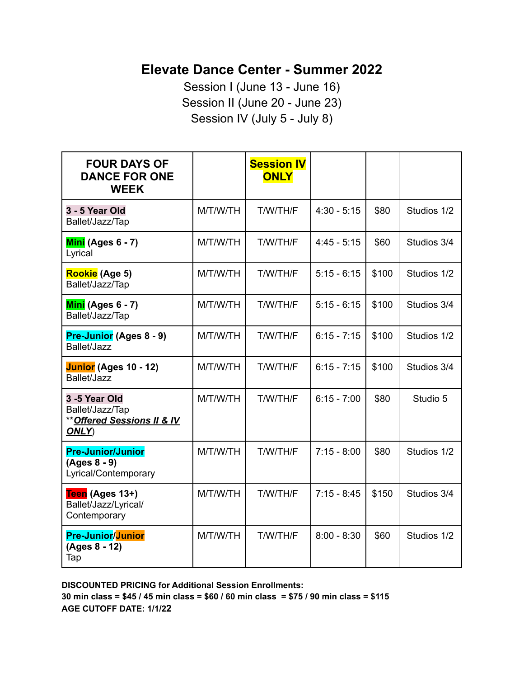## **Elevate Dance Center - Summer 2022**

Session I (June 13 - June 16) Session II (June 20 - June 23) Session IV (July 5 - July 8)

| <b>FOUR DAYS OF</b><br><b>DANCE FOR ONE</b><br><b>WEEK</b>              |          | <b>Session IV</b><br><b>ONLY</b> |               |       |             |
|-------------------------------------------------------------------------|----------|----------------------------------|---------------|-------|-------------|
| 3 - 5 Year Old<br>Ballet/Jazz/Tap                                       | M/T/W/TH | T/W/TH/F                         | $4:30 - 5:15$ | \$80  | Studios 1/2 |
| Mini (Ages 6 - 7)<br>Lyrical                                            | M/T/W/TH | T/W/TH/F                         | $4:45 - 5:15$ | \$60  | Studios 3/4 |
| Rookie (Age 5)<br>Ballet/Jazz/Tap                                       | M/T/W/TH | T/W/TH/F                         | $5:15 - 6:15$ | \$100 | Studios 1/2 |
| Mini (Ages 6 - 7)<br>Ballet/Jazz/Tap                                    | M/T/W/TH | T/W/TH/F                         | $5:15 - 6:15$ | \$100 | Studios 3/4 |
| Pre-Junior (Ages 8 - 9)<br>Ballet/Jazz                                  | M/T/W/TH | T/W/TH/F                         | $6:15 - 7:15$ | \$100 | Studios 1/2 |
| Junior (Ages 10 - 12)<br>Ballet/Jazz                                    | M/T/W/TH | T/W/TH/F                         | $6:15 - 7:15$ | \$100 | Studios 3/4 |
| 3-5 Year Old<br>Ballet/Jazz/Tap<br>** Offered Sessions II & IV<br>ONLY) | M/T/W/TH | T/W/TH/F                         | $6:15 - 7:00$ | \$80  | Studio 5    |
| <b>Pre-Junior/Junior</b><br>(Ages 8 - 9)<br>Lyrical/Contemporary        | M/T/W/TH | T/W/TH/F                         | $7:15 - 8:00$ | \$80  | Studios 1/2 |
| Teen (Ages 13+)<br>Ballet/Jazz/Lyrical/<br>Contemporary                 | M/T/W/TH | T/W/TH/F                         | $7:15 - 8:45$ | \$150 | Studios 3/4 |
| <b>Pre-Junior/Junior</b><br>(Ages 8 - 12)<br>Tap                        | M/T/W/TH | T/W/TH/F                         | $8:00 - 8:30$ | \$60  | Studios 1/2 |

**DISCOUNTED PRICING for Additional Session Enrollments:** 30 min class =  $$45 / 45$  min class =  $$60 / 60$  min class =  $$75 / 90$  min class =  $$115$ **AGE CUTOFF DATE: 1/1/22**